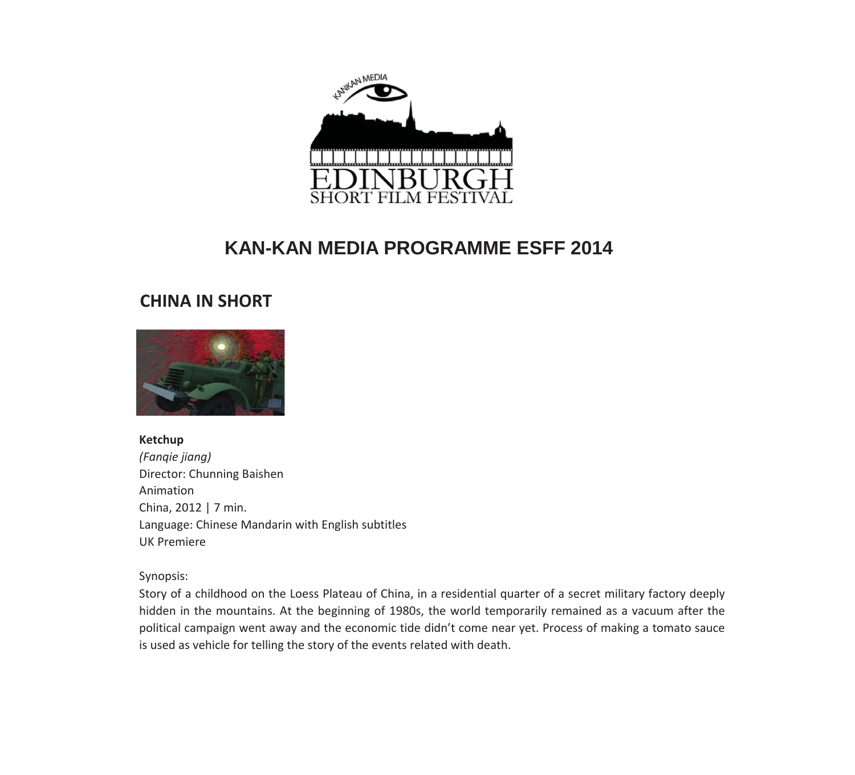

#### **CHINA IN SHORT**



**Ketchup** *(Fanqie jiang)* Director: Chunning Baishen Animation China, 2012 | 7 min. Language: Chinese Mandarin with English subtitles UK Premiere

Synopsis:

Story of a childhood on the Loess Plateau of China, in a residential quarter of a secret military factory deeply hidden in the mountains. At the beginning of 1980s, the world temporarily remained as a vacuum after the political campaign went away and the economic tide didn't come near yet. Process of making a tomato sauce is used as vehicle for telling the story of the events related with death.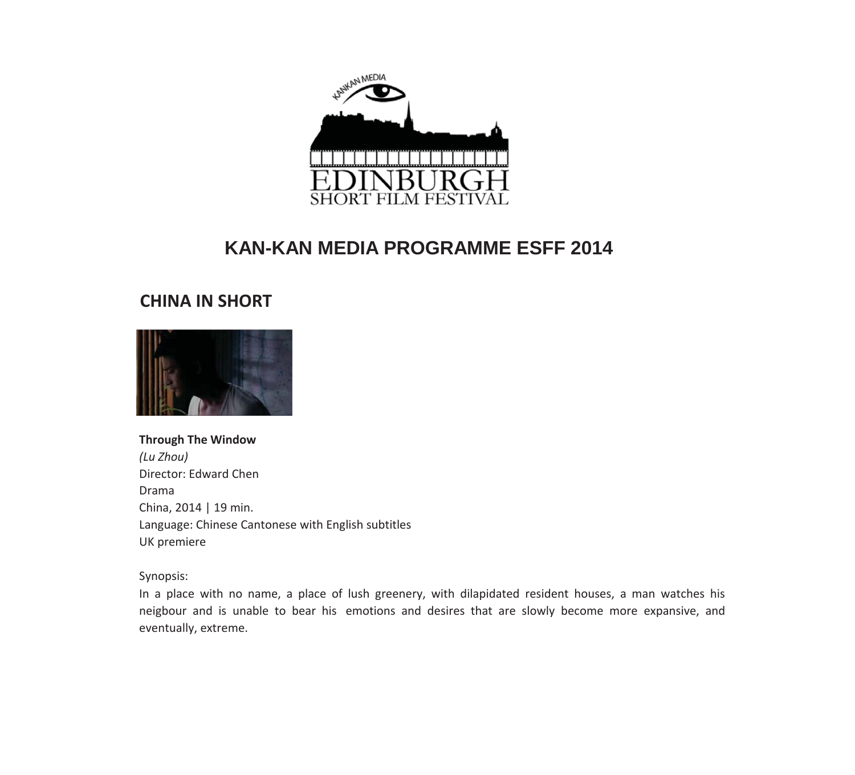

## **CHINA IN SHORT**



#### **Through The Window** *(Lu Zhou)* Director: Edward Chen Drama

China, 2014 | 19 min. Language: Chinese Cantonese with English subtitles UK premiere

Synopsis:

In a place with no name, a place of lush greenery, with dilapidated resident houses, a man watches his neigbour and is unable to bear his emotions and desires that are slowly become more expansive, and eventually, extreme.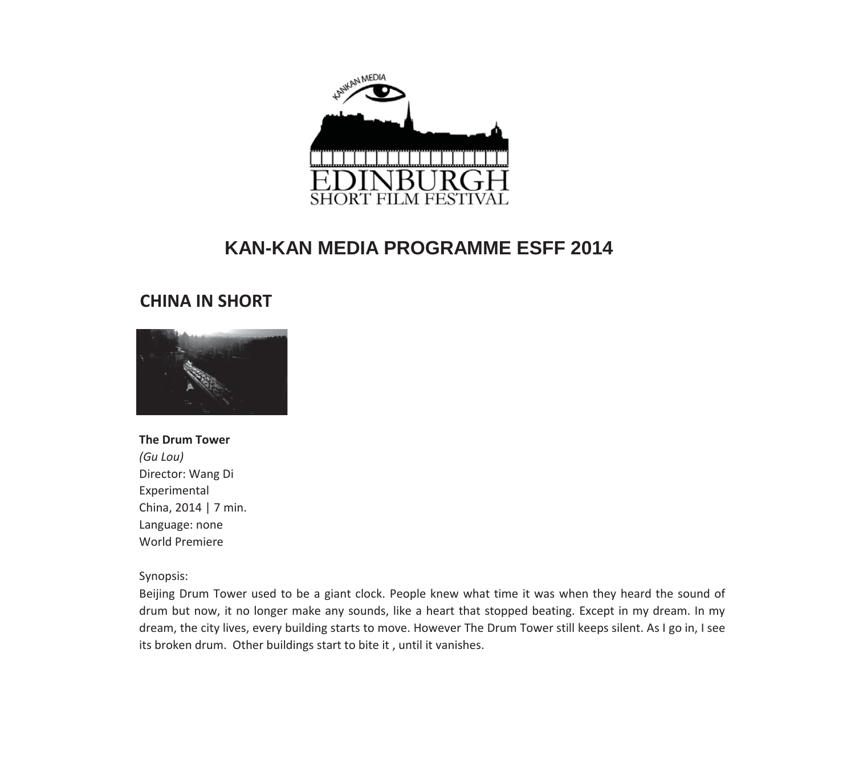

#### **CHINA IN SHORT**



#### **The Drum Tower**

*(Gu Lou)* Director: Wang Di Experimental China, 2014 | 7 min. Language: none World Premiere

#### Synopsis:

Beijing Drum Tower used to be a giant clock. People knew what time it was when they heard the sound of drum but now, it no longer make any sounds, like a heart that stopped beating. Except in my dream. In my dream, the city lives, every building starts to move. However The Drum Tower still keeps silent. As I go in, I see its broken drum. Other buildings start to bite it, until it vanishes.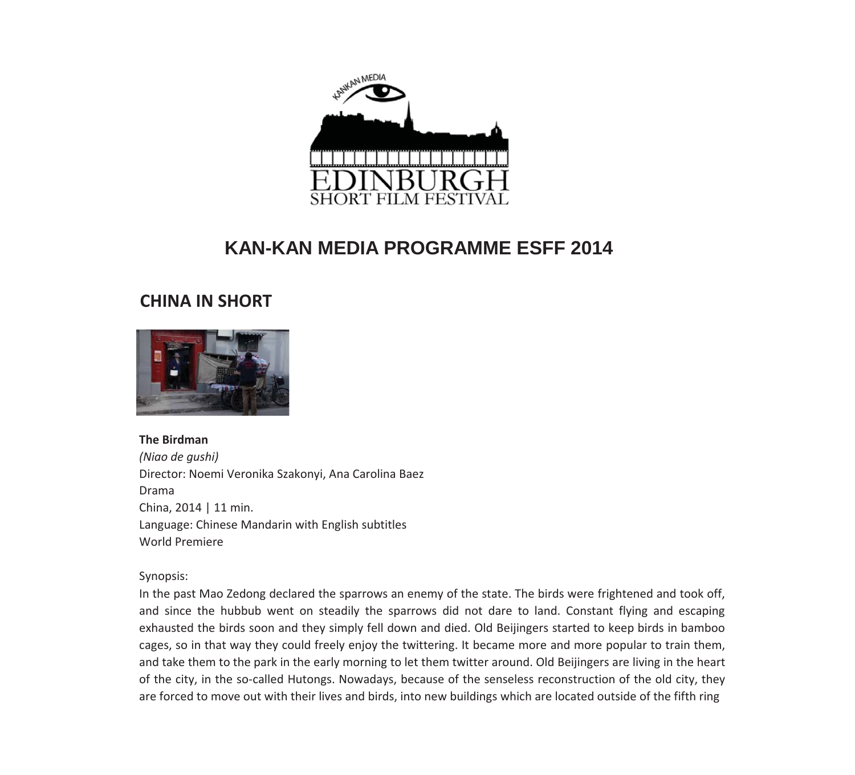

#### **CHINA IN SHORT**



#### **The Birdman**

*(Niao de gushi)* Director: Noemi Veronika Szakonyi, Ana Carolina Baez Drama China, 2014 | 11 min. Language: Chinese Mandarin with English subtitles World Premiere

Synopsis:

In the past Mao Zedong declared the sparrows an enemy of the state. The birds were frightened and took off, and since the hubbub went on steadily the sparrows did not dare to land. Constant flying and escaping exhausted the birds soon and they simply fell down and died. Old Beijingers started to keep birds in bamboo cages, so in that way they could freely enjoy the twittering. It became more and more popular to train them, and take them to the park in the early morning to let them twitter around. Old Beijingers are living in the heart of the city, in the so-called Hutongs. Nowadays, because of the senseless reconstruction of the old city, they are forced to move out with their lives and birds, into new buildings which are located outside of the fifth ring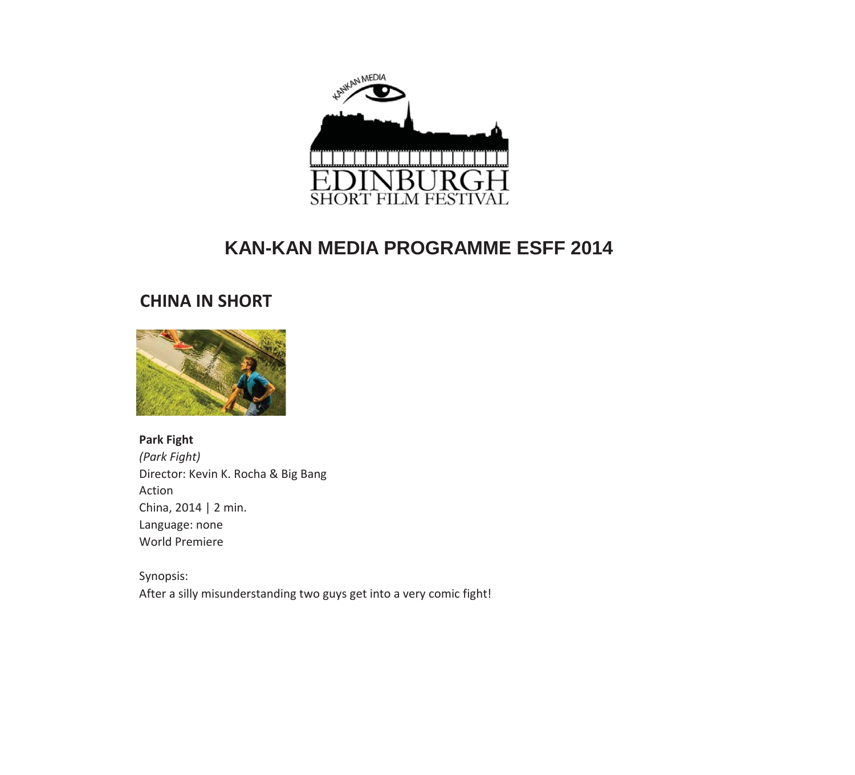

#### **CHINA IN SHORT**



**Park Fight** *(Park Fight)* Director: Kevin K. Rocha & Big Bang Action China, 2014 | 2 min. Language: none World Premiere

Synopsis: After a silly misunderstanding two guys get into a very comic fight!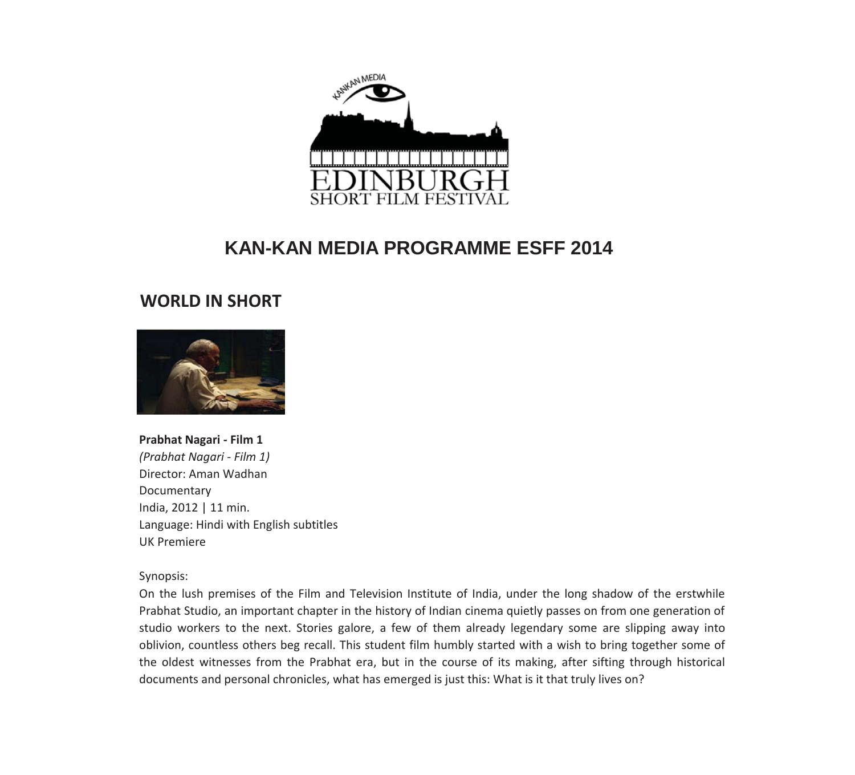

#### **WORLD IN SHORT**



**Prabhat Nagari** - Film 1 *(Prabhat NagariͲFilm 1)* Director: Aman Wadhan Documentary India, 2012 | 11 min. Language: Hindi with English subtitles UK Premiere

Synopsis:

On the lush premises of the Film and Television Institute of India, under the long shadow of the erstwhile Prabhat Studio, an important chapter in the history of Indian cinema quietly passes on from one generation of studio workers to the next. Stories galore, a few of them already legendary some are slipping away into oblivion, countless others beg recall. This student film humbly started with a wish to bring together some of the oldest witnesses from the Prabhat era, but in the course of its making, after sifting through historical documents and personal chronicles, what has emerged is just this: What is it that truly lives on?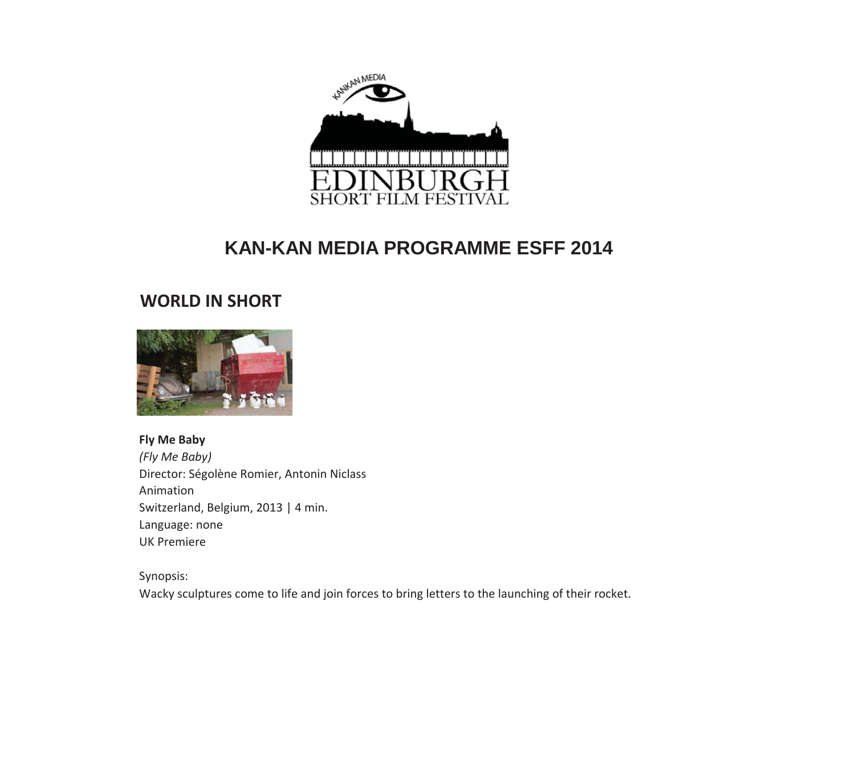

## **WORLD IN SHORT**



**Fly Me Baby** *(Fly Me Baby)* Director: Ségolène Romier, Antonin Niclass Animation Switzerland, Belgium, 2013 | 4 min. Language: none UK Premiere

Synopsis: Wacky sculptures come to life and join forces to bring letters to the launching of their rocket.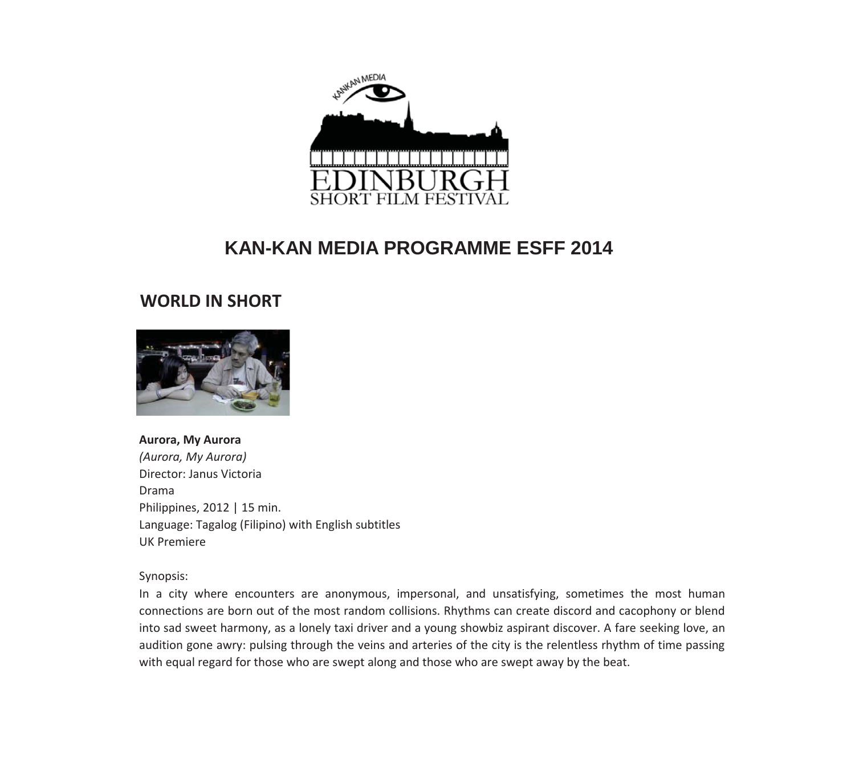

#### **WORLD IN SHORT**



**Aurora, My Aurora** *(Aurora, My Aurora)* Director: Janus Victoria Drama Philippines, 2012 | 15 min. Language: Tagalog (Filipino) with English subtitles UK Premiere

Synopsis:

In a city where encounters are anonymous, impersonal, and unsatisfying, sometimes the most human connections are born out of the most random collisions. Rhythms can create discord and cacophony or blend into sad sweet harmony, as a lonely taxi driver and a young showbiz aspirant discover. A fare seeking love, an audition gone awry: pulsing through the veins and arteries of the city is the relentless rhythm of time passing with equal regard for those who are swept along and those who are swept away by the beat.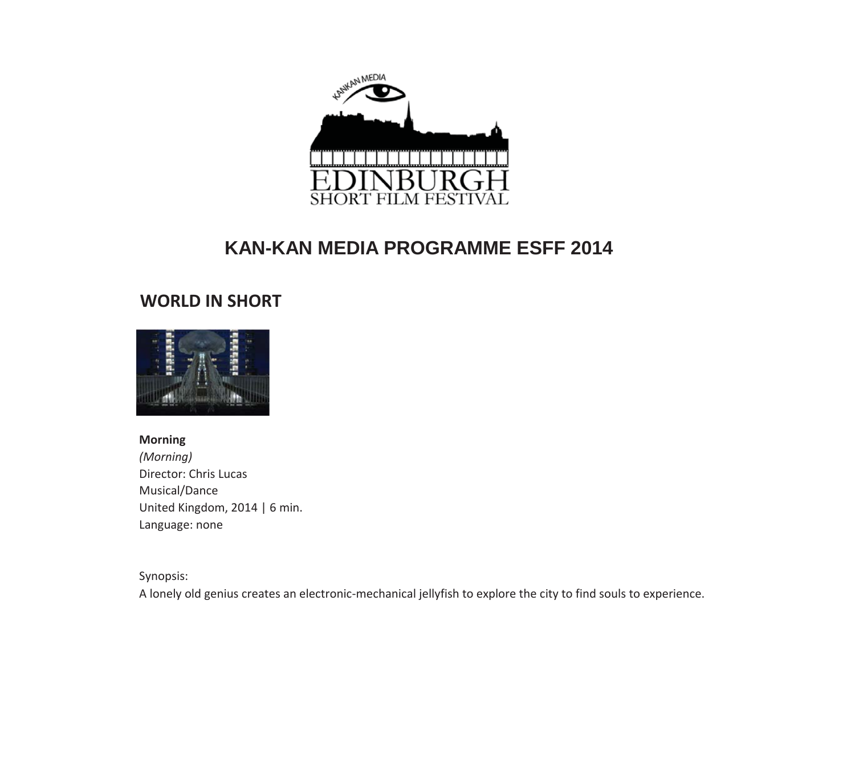

## **WORLD IN SHORT**



**Morning** *(Morning)* Director: Chris Lucas Musical/Dance United Kingdom, 2014 | 6 min. Language: none

Synopsis:

A lonely old genius creates an electronic-mechanical jellyfish to explore the city to find souls to experience.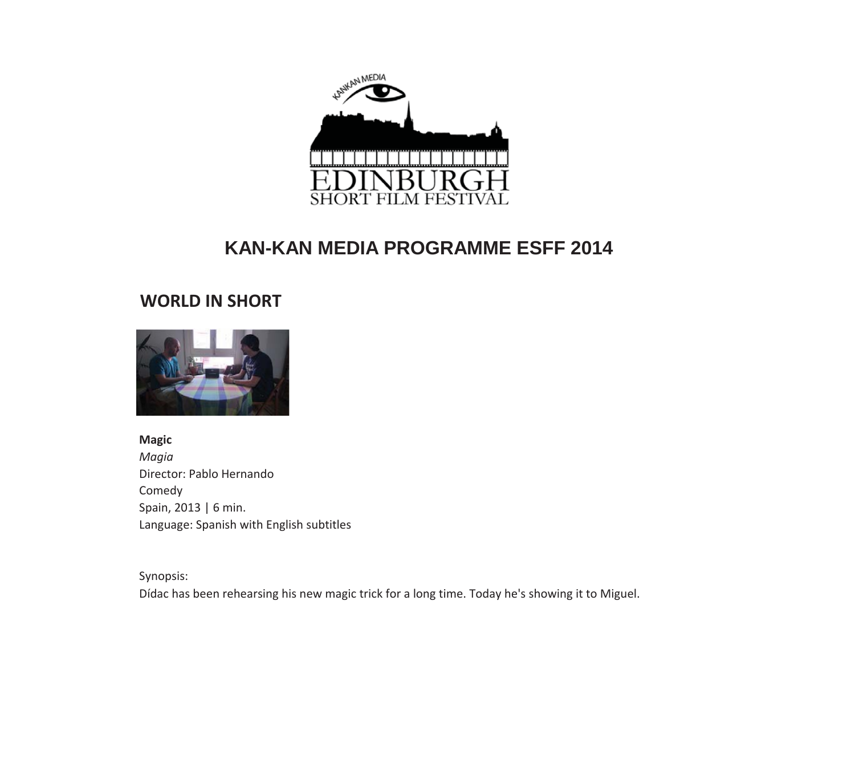

## **WORLD IN SHORT**



**Magic** *Magia* Director: Pablo Hernando Comedy Spain, 2013 | 6 min. Language: Spanish with English subtitles

Synopsis: Dídac has been rehearsing his new magic trick for a long time. Today he's showing it to Miguel.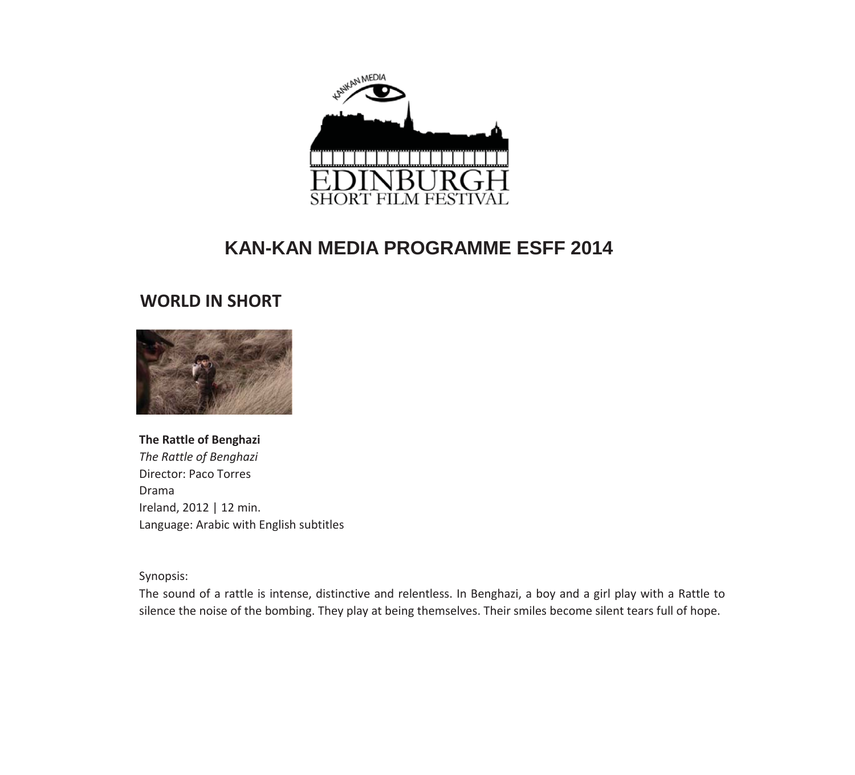

#### **WORLD IN SHORT**



#### **The Rattle of Benghazi**

*The Rattle of Benghazi* Director: Paco Torres Drama Ireland, 2012 | 12 min. Language: Arabic with English subtitles

Synopsis:

The sound of a rattle is intense, distinctive and relentless. In Benghazi, a boy and a girl play with a Rattle to silence the noise of the bombing. They play at being themselves. Their smiles become silent tears full of hope.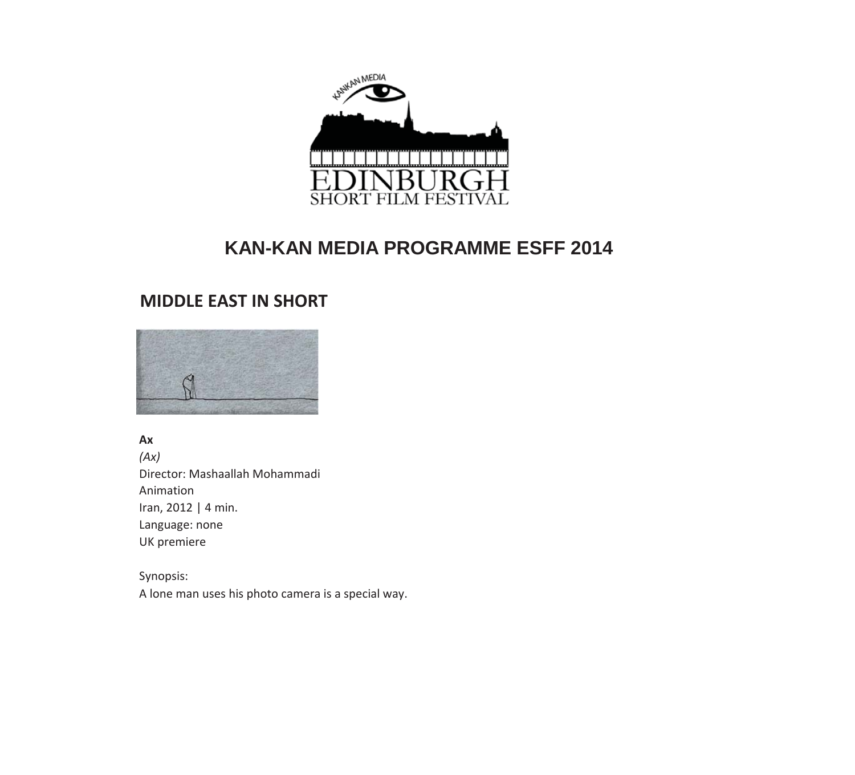

## **MIDDLE EAST IN SHORT**



**Ax** *(Ax)* Director: Mashaallah Mohammadi Animation Iran, 2012 | 4 min. Language: none UK premiere

Synopsis: A lone man uses his photo camera is a special way.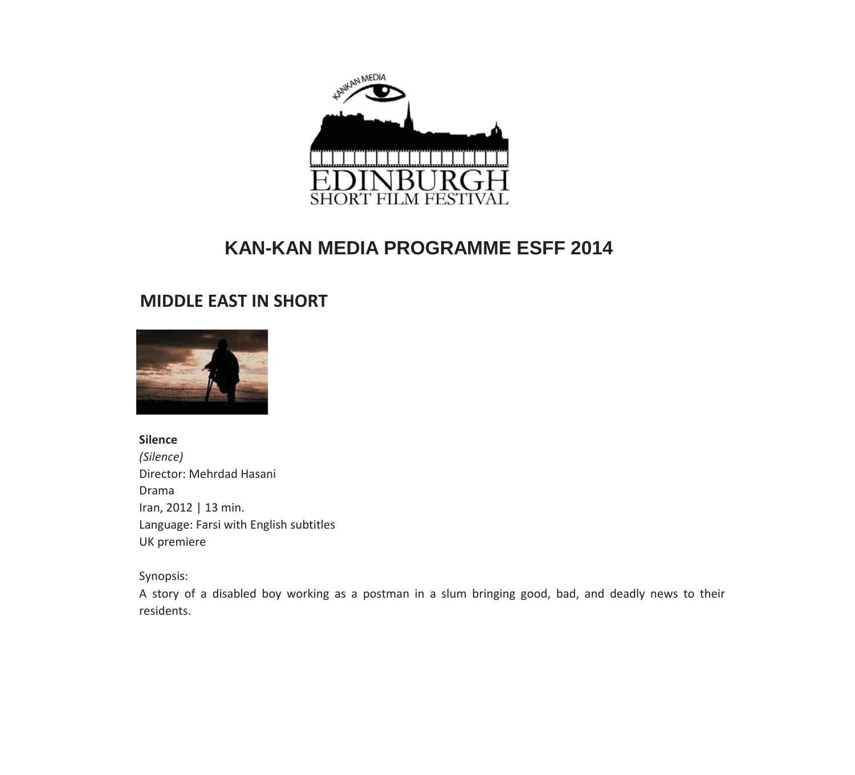

## **MIDDLE EAST IN SHORT**



#### **Silence**

*(Silence)* Director: Mehrdad Hasani Drama Iran, 2012 | 13 min. Language: Farsi with English subtitles UK premiere

Synopsis:

A story of a disabled boy working as a postman in a slum bringing good, bad, and deadly news to their residents.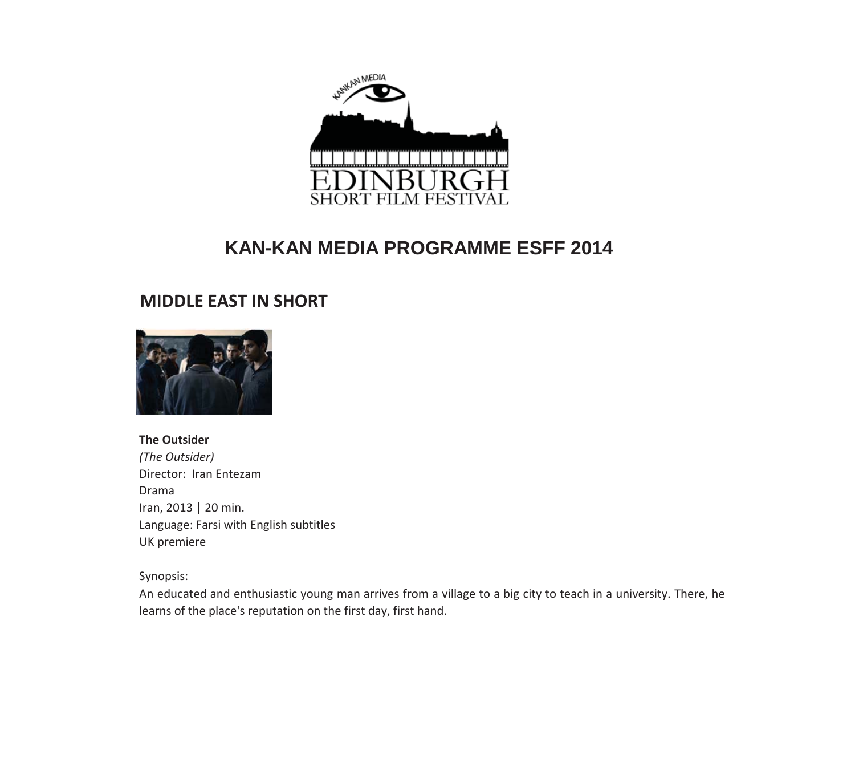

## **MIDDLE EAST IN SHORT**



#### **The Outsider**

*(The Outsider)* Director: Iran Entezam Drama Iran, 2013 | 20 min. Language: Farsi with English subtitles UK premiere

Synopsis:

An educated and enthusiastic young man arrives from a village to a big city to teach in a university. There, he learns of the place's reputation on the first day, first hand.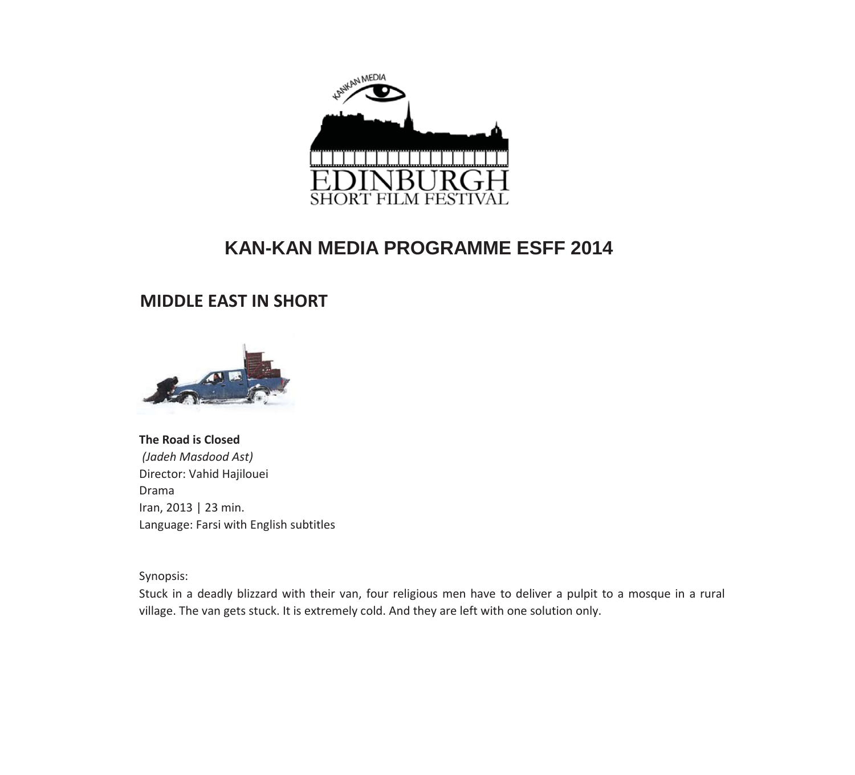

## **MIDDLE EAST IN SHORT**



**The Road is Closed** *(Jadeh Masdood Ast)* Director: Vahid Hajilouei Drama Iran, 2013 | 23 min. Language: Farsi with English subtitles

Synopsis:

Stuck in a deadly blizzard with their van, four religious men have to deliver a pulpit to a mosque in a rural village. The van gets stuck. It is extremely cold. And they are left with one solution only.